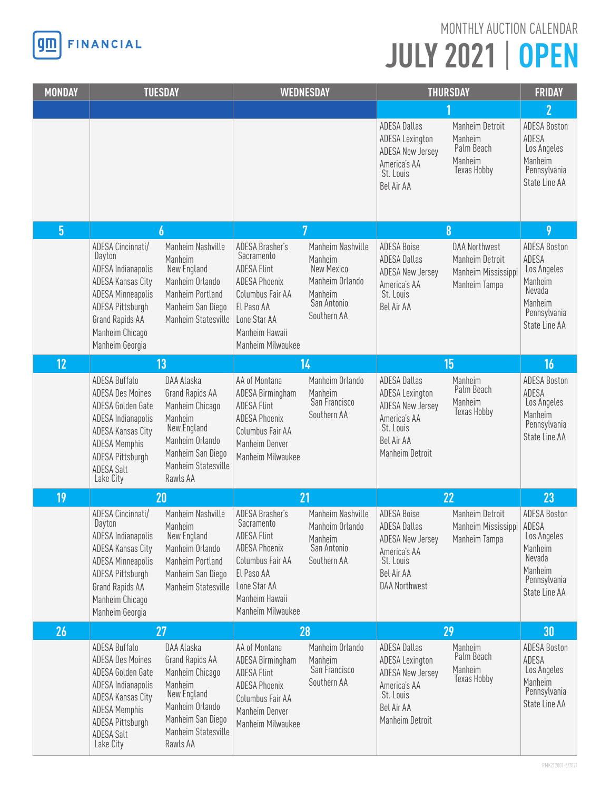

## **JULY 2021** | **OPEN** MONTHLY AUCTION CALENDAR

| <b>MONDAY</b>  | <b>TUESDAY</b>                                                                                                                                                                         |                                                                                                                                                       | <b>WEDNESDAY</b>                                                                                                                                                     |                                                                                                        | <b>THURSDAY</b>                                                                                                                         |                                                                                 | <b>FRIDAY</b>                                                                                                |
|----------------|----------------------------------------------------------------------------------------------------------------------------------------------------------------------------------------|-------------------------------------------------------------------------------------------------------------------------------------------------------|----------------------------------------------------------------------------------------------------------------------------------------------------------------------|--------------------------------------------------------------------------------------------------------|-----------------------------------------------------------------------------------------------------------------------------------------|---------------------------------------------------------------------------------|--------------------------------------------------------------------------------------------------------------|
|                |                                                                                                                                                                                        |                                                                                                                                                       |                                                                                                                                                                      |                                                                                                        |                                                                                                                                         |                                                                                 | $\overline{2}$                                                                                               |
|                |                                                                                                                                                                                        |                                                                                                                                                       |                                                                                                                                                                      |                                                                                                        | <b>ADESA Dallas</b><br><b>ADESA Lexington</b><br><b>ADESA New Jersey</b><br>America's AA<br>St. Louis<br>Bel Air AA                     | Manheim Detroit<br>Manheim<br>Palm Beach<br>Manheim<br>Texas Hobby              | <b>ADESA Boston</b><br>ADESA<br>Los Angeles<br>Manheim<br>Pennsylvania<br>State Line AA                      |
| $\overline{5}$ | 6                                                                                                                                                                                      |                                                                                                                                                       | $\overline{7}$                                                                                                                                                       |                                                                                                        | 8                                                                                                                                       |                                                                                 | 9                                                                                                            |
|                | ADESA Cincinnati/<br>Dayton<br>ADESA Indianapolis<br>ADESA Kansas City<br><b>ADESA Minneapolis</b><br>ADESA Pittsburgh<br><b>Grand Rapids AA</b><br>Manheim Chicago<br>Manheim Georgia | Manheim Nashville<br>Manheim<br>New England<br>Manheim Orlando<br>Manheim Portland<br>Manheim San Diego<br>Manheim Statesville                        | ADESA Brasher's<br>Sacramento<br><b>ADESA Flint</b><br><b>ADESA Phoenix</b><br>Columbus Fair AA<br>El Paso AA<br>Lone Star AA<br>Manheim Hawaii<br>Manheim Milwaukee | Manheim Nashville<br>Manheim<br>New Mexico<br>Manheim Orlando<br>Manheim<br>San Antonio<br>Southern AA | <b>ADESA Boise</b><br><b>ADESA Dallas</b><br><b>ADESA New Jersey</b><br>America's AA<br>St. Louis<br>Bel Air AA                         | <b>DAA Northwest</b><br>Manheim Detroit<br>Manheim Mississippi<br>Manheim Tampa | <b>ADESA Boston</b><br>ADESA<br>Los Angeles<br>Manheim<br>Nevada<br>Manheim<br>Pennsylvania<br>State Line AA |
| 12             |                                                                                                                                                                                        | 13                                                                                                                                                    |                                                                                                                                                                      | 14                                                                                                     |                                                                                                                                         | 15                                                                              | 16                                                                                                           |
|                | ADESA Buffalo<br><b>ADESA Des Moines</b><br>ADESA Golden Gate<br>ADESA Indianapolis<br>ADESA Kansas City<br><b>ADESA Memphis</b><br>ADESA Pittsburgh<br><b>ADESA Salt</b><br>Lake City | DAA Alaska<br>Grand Rapids AA<br>Manheim Chicago<br>Manheim<br>New England<br>Manheim Orlando<br>Manheim San Diego<br>Manheim Statesville<br>Rawls AA | AA of Montana<br>ADESA Birmingham<br><b>ADESA Flint</b><br><b>ADESA Phoenix</b><br>Columbus Fair AA<br>Manheim Denver<br>Manheim Milwaukee                           | Manheim Orlando<br>Manheim<br>San Francisco<br>Southern AA                                             | <b>ADESA Dallas</b><br><b>ADESA Lexington</b><br><b>ADESA New Jersey</b><br>America's AA<br>St. Louis<br>Bel Air AA<br>Manheim Detroit  | Manheim<br>Palm Beach<br>Manheim<br><b>Texas Hobby</b>                          | <b>ADESA Boston</b><br>ADESA<br>Los Angeles<br>Manheim<br>Pennsylvania<br>State Line AA                      |
| 19             | 20                                                                                                                                                                                     |                                                                                                                                                       | 21                                                                                                                                                                   |                                                                                                        | 22                                                                                                                                      |                                                                                 | 23                                                                                                           |
|                | ADESA Cincinnati/<br>Dayton<br>ADESA Indianapolis<br>ADESA Kansas City<br><b>ADESA Minneapolis</b><br>ADESA Pittsburgh<br>Grand Rapids AA<br>Manheim Chicago<br>Manheim Georgia        | Manheim Nashville<br>Manheim<br>New England<br>Manheim Orlando<br>Manheim Portland<br>Manheim San Diego<br>Manheim Statesville                        | ADESA Brasher's<br>Sacramento<br><b>ADESA Flint</b><br><b>ADESA Phoenix</b><br>Columbus Fair AA<br>El Paso AA<br>Lone Star AA<br>Manheim Hawaii<br>Manheim Milwaukee | Manheim Nashville<br>Manheim Orlando<br>Manheim<br>San Antonio<br>Southern AA                          | <b>ADESA Boise</b><br><b>ADESA Dallas</b><br><b>ADESA New Jersey</b><br>America's AA<br>St. Louis<br>Bel Air AA<br><b>DAA Northwest</b> | Manheim Detroit<br>Manheim Mississippi   ADESA<br>Manheim Tampa                 | <b>ADESA Boston</b><br>Los Angeles<br>Manheim<br>Nevada<br>Manheim<br>Pennsylvania<br>State Line AA          |
| 26             |                                                                                                                                                                                        | 27                                                                                                                                                    |                                                                                                                                                                      | 28                                                                                                     |                                                                                                                                         | 29                                                                              | 30                                                                                                           |
|                | ADESA Buffalo<br><b>ADESA Des Moines</b><br>ADESA Golden Gate<br>ADESA Indianapolis<br>ADESA Kansas City<br><b>ADESA Memphis</b><br>ADESA Pittsburgh<br><b>ADESA Salt</b><br>Lake City | DAA Alaska<br>Grand Rapids AA<br>Manheim Chicago<br>Manheim<br>New England<br>Manheim Orlando<br>Manheim San Diego<br>Manheim Statesville<br>Rawls AA | AA of Montana<br>ADESA Birmingham<br><b>ADESA Flint</b><br><b>ADESA Phoenix</b><br>Columbus Fair AA<br>Manheim Denver<br>Manheim Milwaukee                           | Manheim Orlando<br>Manheim<br>San Francisco<br>Southern AA                                             | <b>ADESA Dallas</b><br><b>ADESA Lexington</b><br><b>ADESA New Jersey</b><br>America's AA<br>St. Louis<br>Bel Air AA<br>Manheim Detroit  | Manheim<br>Palm Beach<br>Manheim<br>Texas Hobby                                 | <b>ADESA Boston</b><br>ADESA<br>Los Angeles<br>Manheim<br>Pennsylvania<br>State Line AA                      |